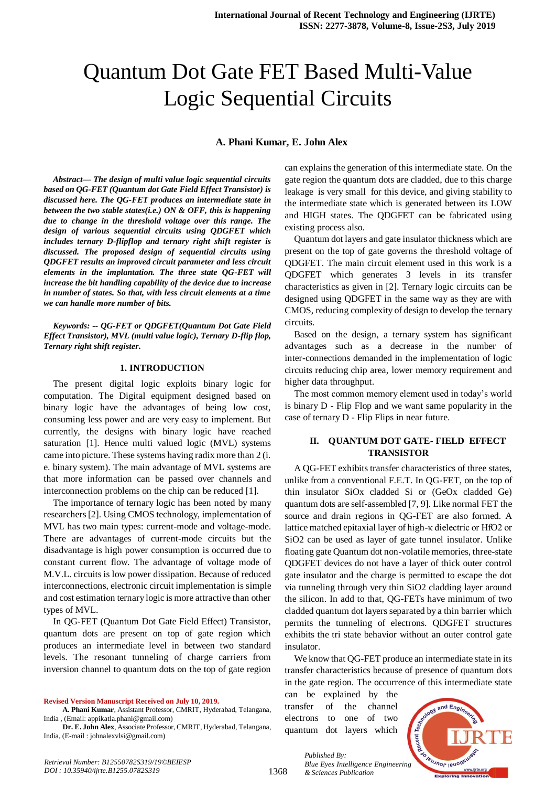# Quantum Dot Gate FET Based Multi-Value Logic Sequential Circuits

## **A. Phani Kumar, E. John Alex**

*Abstract***—** *The design of multi value logic sequential circuits based on QG-FET (Quantum dot Gate Field Effect Transistor) is discussed here. The QG-FET produces an intermediate state in between the two stable states(i.e.) ON & OFF, this is happening due to change in the threshold voltage over this range. The design of various sequential circuits using QDGFET which includes ternary D-flipflop and ternary right shift register is discussed. The proposed design of sequential circuits using QDGFET results an improved circuit parameter and less circuit elements in the implantation. The three state QG-FET will increase the bit handling capability of the device due to increase in number of states. So that, with less circuit elements at a time we can handle more number of bits.*

*Keywords: -- QG-FET or QDGFET(Quantum Dot Gate Field Effect Transistor), MVL (multi value logic), Ternary D-flip flop, Ternary right shift register.*

#### **1. INTRODUCTION**

The present digital logic exploits binary logic for computation. The Digital equipment designed based on binary logic have the advantages of being low cost, consuming less power and are very easy to implement. But currently, the designs with binary logic have reached saturation [1]. Hence multi valued logic (MVL) systems came into picture. These systems having radix more than 2 (i. e. binary system). The main advantage of MVL systems are that more information can be passed over channels and interconnection problems on the chip can be reduced [1].

The importance of ternary logic has been noted by many researchers [2]. Using CMOS technology, implementation of MVL has two main types: current-mode and voltage-mode. There are advantages of current-mode circuits but the disadvantage is high power consumption is occurred due to constant current flow. The advantage of voltage mode of M.V.L. circuits is low power dissipation. Because of reduced interconnections, electronic circuit implementation is simple and cost estimation ternary logic is more attractive than other types of MVL.

In QG-FET (Quantum Dot Gate Field Effect) Transistor, quantum dots are present on top of gate region which produces an intermediate level in between two standard levels. The resonant tunneling of charge carriers from inversion channel to quantum dots on the top of gate region

**Revised Version Manuscript Received on July 10, 2019.**

**A. Phani Kumar**, Assistant Professor, CMRIT, Hyderabad, Telangana, India , (Email: appikatla.phani@gmail.com)

**Dr. E. John Alex**, Associate Professor, CMRIT, Hyderabad, Telangana, India, (E-mail : johnalexvlsi@gmail.com)

can explains the generation of this intermediate state. On the gate region the quantum dots are cladded, due to this charge leakage is very small for this device, and giving stability to the intermediate state which is generated between its LOW and HIGH states. The QDGFET can be fabricated using existing process also.

Quantum dot layers and gate insulator thickness which are present on the top of gate governs the threshold voltage of QDGFET. The main circuit element used in this work is a QDGFET which generates 3 levels in its transfer characteristics as given in [2]. Ternary logic circuits can be designed using QDGFET in the same way as they are with CMOS, reducing complexity of design to develop the ternary circuits.

Based on the design, a ternary system has significant advantages such as a decrease in the number of inter-connections demanded in the implementation of logic circuits reducing chip area, lower memory requirement and higher data throughput.

The most common memory element used in today's world is binary D - Flip Flop and we want same popularity in the case of ternary D - Flip Flips in near future.

## **II. QUANTUM DOT GATE- FIELD EFFECT TRANSISTOR**

A QG-FET exhibits transfer characteristics of three states, unlike from a conventional F.E.T. In QG-FET, on the top of thin insulator SiOx cladded Si or (GeOx cladded Ge) quantum dots are self-assembled [7, 9]. Like normal FET the source and drain regions in QG-FET are also formed. A lattice matched epitaxial layer of high-κ dielectric or HfO2 or SiO2 can be used as layer of gate tunnel insulator. Unlike floating gate Quantum dot non-volatile memories, three-state QDGFET devices do not have a layer of thick outer control gate insulator and the charge is permitted to escape the dot via tunneling through very thin SiO2 cladding layer around the silicon. In add to that, QG-FETs have minimum of two cladded quantum dot layers separated by a thin barrier which permits the tunneling of electrons. QDGFET structures exhibits the tri state behavior without an outer control gate insulator.

We know that QG-FET produce an intermediate state in its transfer characteristics because of presence of quantum dots in the gate region. The occurrence of this intermediate state

can be explained by the transfer of the channel electrons to one of two quantum dot layers which

*Published By:*

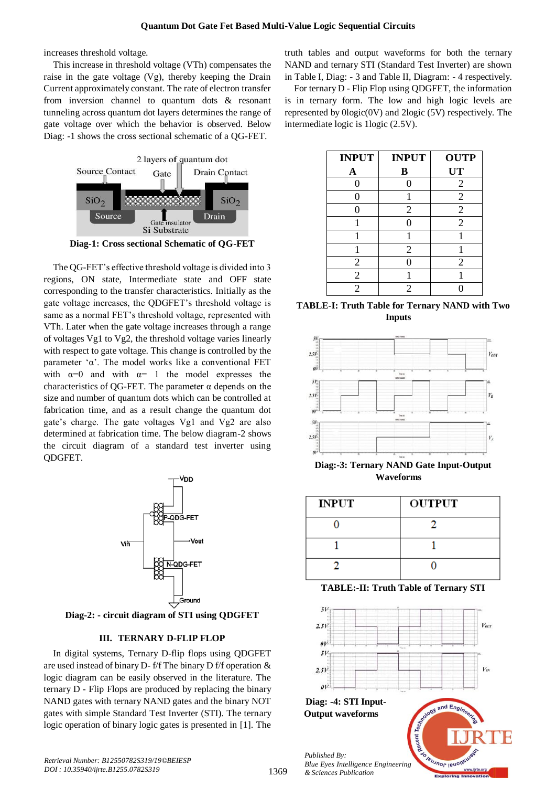increases threshold voltage.

This increase in threshold voltage (VTh) compensates the raise in the gate voltage  $(Vg)$ , thereby keeping the Drain Current approximately constant. The rate of electron transfer from inversion channel to quantum dots & resonant tunneling across quantum dot layers determines the range of gate voltage over which the behavior is observed. Below Diag: -1 shows the cross sectional schematic of a QG-FET.



**Diag-1: Cross sectional Schematic of QG-FET**

The QG-FET's effective threshold voltage is divided into 3 regions, ON state, Intermediate state and OFF state corresponding to the transfer characteristics. Initially as the gate voltage increases, the QDGFET's threshold voltage is same as a normal FET's threshold voltage, represented with VTh. Later when the gate voltage increases through a range of voltages Vg1 to Vg2, the threshold voltage varies linearly with respect to gate voltage. This change is controlled by the parameter 'α'. The model works like a conventional FET with  $\alpha=0$  and with  $\alpha=1$  the model expresses the characteristics of QG-FET. The parameter  $\alpha$  depends on the size and number of quantum dots which can be controlled at fabrication time, and as a result change the quantum dot gate's charge. The gate voltages Vg1 and Vg2 are also determined at fabrication time. The below diagram-2 shows the circuit diagram of a standard test inverter using QDGFET.



**Diag-2: - circuit diagram of STI using QDGFET**

### **III. TERNARY D-FLIP FLOP**

In digital systems, Ternary D-flip flops using QDGFET are used instead of binary D- f/f The binary D f/f operation & logic diagram can be easily observed in the literature. The ternary D - Flip Flops are produced by replacing the binary NAND gates with ternary NAND gates and the binary NOT gates with simple Standard Test Inverter (STI). The ternary logic operation of binary logic gates is presented in [1]. The truth tables and output waveforms for both the ternary NAND and ternary STI (Standard Test Inverter) are shown in Table I, Diag: - 3 and Table II, Diagram: - 4 respectively.

For ternary D - Flip Flop using QDGFET, the information is in ternary form. The low and high logic levels are represented by 0logic(0V) and 2logic (5V) respectively. The intermediate logic is 1logic (2.5V).

| <b>INPUT</b>   | <b>INPUT</b>   | <b>OUTP</b>    |
|----------------|----------------|----------------|
| A              | B              | <b>UT</b>      |
| 0              | 0              | $\overline{2}$ |
| 0              |                | $\overline{2}$ |
|                | $\overline{2}$ | $\overline{2}$ |
|                | 0              | $\overline{2}$ |
|                |                |                |
|                | $\overline{2}$ |                |
| $\overline{2}$ |                | $\overline{2}$ |
| $\overline{2}$ |                |                |
| $\overline{2}$ | 2              |                |

**TABLE-I: Truth Table for Ternary NAND with Two Inputs**



**Diag:-3: Ternary NAND Gate Input-Output Waveforms**

| <b>INPUT</b> | <b>OUTPUT</b> |
|--------------|---------------|
|              |               |
|              |               |
|              |               |

**TABLE:-II: Truth Table of Ternary STI**

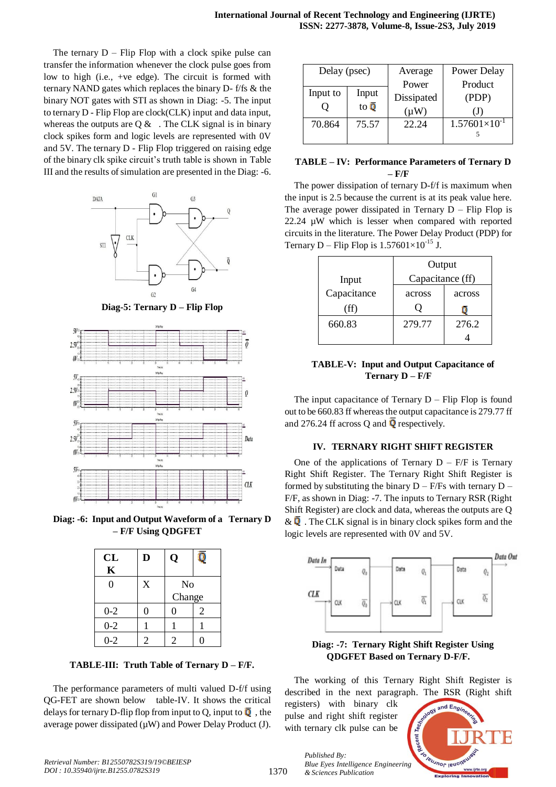The ternary  $D -$  Flip Flop with a clock spike pulse can transfer the information whenever the clock pulse goes from low to high (i.e., +ve edge). The circuit is formed with ternary NAND gates which replaces the binary D- f/fs & the binary NOT gates with STI as shown in Diag: -5. The input to ternary D - Flip Flop are clock(CLK) input and data input, whereas the outputs are  $Q \&$ . The CLK signal is in binary clock spikes form and logic levels are represented with 0V and 5V. The ternary D - Flip Flop triggered on raising edge of the binary clk spike circuit's truth table is shown in Table III and the results of simulation are presented in the Diag: -6.



**Diag-5: Ternary D – Flip Flop**



**Diag: -6: Input and Output Waveform of a Ternary D – F/F Using QDGFET**

| CL<br>$\mathbf K$ | D              | Q                        |   |
|-------------------|----------------|--------------------------|---|
| 0                 | X              | N <sub>o</sub><br>Change |   |
| $0 - 2$           | 0              | 0                        | 2 |
| $0 - 2$           |                |                          |   |
| $0 - 2$           | $\overline{2}$ | $\mathfrak{D}$           |   |

**TABLE-III: Truth Table of Ternary D – F/F.**

The performance parameters of multi valued D-f/f using QG-FET are shown below table-IV. It shows the critical delays for ternary D-flip flop from input to Q, input to  $\overline{Q}$ , the average power dissipated ( $\mu$ W) and Power Delay Product (J).

| Delay (psec) |                   | Average    | Power Delay            |
|--------------|-------------------|------------|------------------------|
|              |                   | Power      | Product                |
| Input to     | Input             | Dissipated | (PDP)                  |
|              | to $\overline{0}$ | $(\mu W)$  | (J)                    |
| 70.864       | 75.57             | 22.24      | $1.57601\times10^{-1}$ |
|              |                   |            |                        |

# **TABLE – IV: Performance Parameters of Ternary D – F/F**

The power dissipation of ternary D-f/f is maximum when the input is 2.5 because the current is at its peak value here. The average power dissipated in Ternary  $D -$  Flip Flop is 22.24 µW which is lesser when compared with reported circuits in the literature. The Power Delay Product (PDP) for Ternary D – Flip Flop is  $1.57601\times10^{-15}$  J.

|             | Output           |        |
|-------------|------------------|--------|
| Input       | Capacitance (ff) |        |
| Capacitance | across           | across |
| (ff)        |                  |        |
| 660.83      | 279.77           | 276.2  |
|             |                  |        |

## **TABLE-V: Input and Output Capacitance of Ternary D – F/F**

The input capacitance of Ternary  $D -$  Flip Flop is found out to be 660.83 ff whereas the output capacitance is 279.77 ff and 276.24 ff across Q and  $\overline{Q}$  respectively.

### **IV. TERNARY RIGHT SHIFT REGISTER**

One of the applications of Ternary  $D - F/F$  is Ternary Right Shift Register. The Ternary Right Shift Register is formed by substituting the binary  $D - F/Fs$  with ternary  $D - F/Fs$ F/F, as shown in Diag: -7. The inputs to Ternary RSR (Right Shift Register) are clock and data, whereas the outputs are Q &  $\bf{Q}$ . The CLK signal is in binary clock spikes form and the logic levels are represented with 0V and 5V.



**Diag: -7: Ternary Right Shift Register Using QDGFET Based on Ternary D-F/F.**

The working of this Ternary Right Shift Register is described in the next paragraph. The RSR (Right shift

registers) with binary clk pulse and right shift register with ternary clk pulse can be

*Published By:*

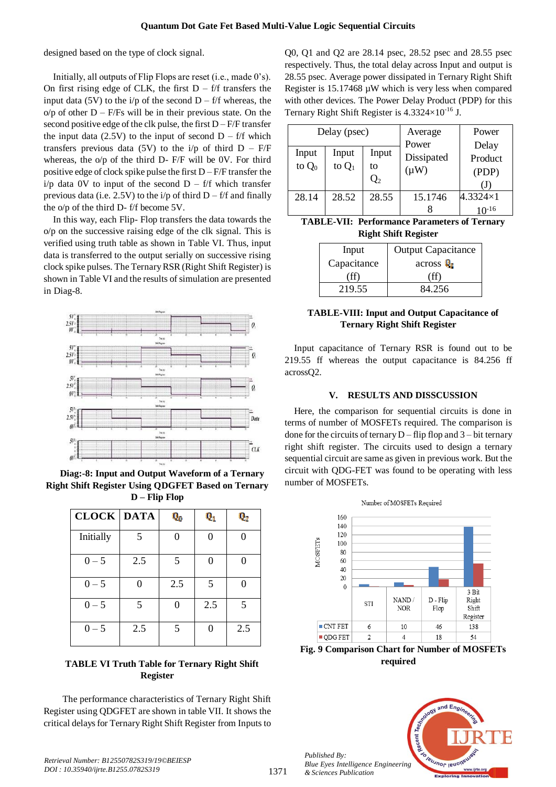designed based on the type of clock signal.

Initially, all outputs of Flip Flops are reset (i.e., made 0's). On first rising edge of CLK, the first  $D - f/f$  transfers the input data (5V) to the i/p of the second  $D - f/f$  whereas, the  $o/p$  of other  $D - F/Fs$  will be in their previous state. On the second positive edge of the clk pulse, the first  $D - F/F$  transfer the input data (2.5V) to the input of second  $D - f/f$  which transfers previous data (5V) to the  $i/p$  of third  $D - F/F$ whereas, the o/p of the third D- F/F will be 0V. For third positive edge of clock spike pulse the first D – F/F transfer the  $i/p$  data 0V to input of the second  $D - f/f$  which transfer previous data (i.e. 2.5V) to the i/p of third  $D - f/f$  and finally the o/p of the third D- f/f become 5V.

In this way, each Flip- Flop transfers the data towards the o/p on the successive raising edge of the clk signal. This is verified using truth table as shown in Table VI. Thus, input data is transferred to the output serially on successive rising clock spike pulses. The Ternary RSR (Right Shift Register) is shown in Table VI and the results of simulation are presented in Diag-8.



**Diag:-8: Input and Output Waveform of a Ternary Right Shift Register Using QDGFET Based on Ternary D – Flip Flop**

| <b>CLOCK DATA</b> |     | Q,  | $\mathbf{0}_1$ | Q,  |
|-------------------|-----|-----|----------------|-----|
| Initially         | 5   | ∩   | 0              |     |
| $0 - 5$           | 2.5 | 5   | $\Omega$       |     |
| $0 - 5$           |     | 2.5 | 5              |     |
| $0 - 5$           | 5   | 0   | 2.5            | 5   |
| $0 - 5$           | 2.5 | 5   | 0              | 2.5 |

# **TABLE VI Truth Table for Ternary Right Shift Register**

The performance characteristics of Ternary Right Shift Register using QDGFET are shown in table VII. It shows the critical delays for Ternary Right Shift Register from Inputs to

Q0, Q1 and Q2 are 28.14 psec, 28.52 psec and 28.55 psec respectively. Thus, the total delay across Input and output is 28.55 psec. Average power dissipated in Ternary Right Shift Register is 15.17468 µW which is very less when compared with other devices. The Power Delay Product (PDP) for this Ternary Right Shift Register is  $4.3324 \times 10^{-16}$  J.

| Delay (psec)      |                   | Average                | Power<br>Delay                   |                               |
|-------------------|-------------------|------------------------|----------------------------------|-------------------------------|
| Input<br>to $Q_0$ | Input<br>to $Q_1$ | Input<br>to<br>$Q_{2}$ | Power<br>Dissipated<br>$(\mu W)$ | Product<br>(PDP)<br>(J)       |
| 28.14             | 28.52             | 28.55                  | 15.1746                          | 4.3324×1<br>10- <sup>16</sup> |

**TABLE-VII: Performance Parameters of Ternary Right Shift Register**

| Input       | <b>Output Capacitance</b> |
|-------------|---------------------------|
| Capacitance | $\arccos \mathbf{Q}_2$    |
| (ff)        | (ff)                      |
| 219.55      | 84.256                    |

## **TABLE-VIII: Input and Output Capacitance of Ternary Right Shift Register**

Input capacitance of Ternary RSR is found out to be 219.55 ff whereas the output capacitance is 84.256 ff acrossQ2.

### **V. RESULTS AND DISSCUSSION**

Here, the comparison for sequential circuits is done in terms of number of MOSFETs required. The comparison is done for the circuits of ternary  $D - flip$  flop and  $3 - bit$  ternary right shift register. The circuits used to design a ternary sequential circuit are same as given in previous work. But the circuit with QDG-FET was found to be operating with less number of MOSFETs.



**Fig. 9 Comparison Chart for Number of MOSFETs required**



*Published By:*